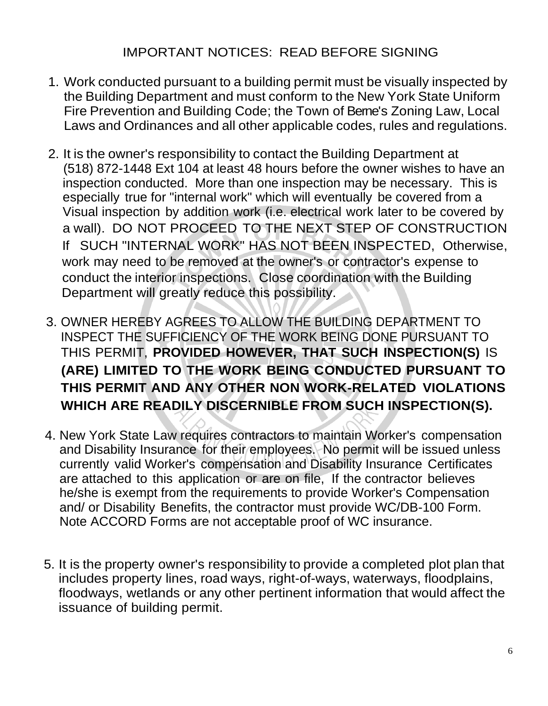- 1. Work conducted pursuant to a building permit must be visually inspected by the Building Department and must conform to the New York State Uniform Fire Prevention and Building Code; the Town of Berne's Zoning Law, Local Laws and Ordinances and all other applicable codes, rules and regulations.
- 2. It is the owner's responsibility to contact the Building Department at (518) 872-1448 Ext 104 at least 48 hours before the owner wishes to have an inspection conducted. More than one inspection may be necessary. This is especially true for "internal work" which will eventually be covered from a Visual inspection by addition work (i.e. electrical work later to be covered by a wall). DO NOT PROCEED TO THE NEXT STEP OF CONSTRUCTION If SUCH "INTERNAL WORK" HAS NOT BEEN INSPECTED, Otherwise, work may need to be removed at the owner's or contractor's expense to conduct the interior inspections. Close coordination with the Building Department will greatly reduce this possibility.
- 3. OWNER HEREBY AGREES TO ALLOW THE BUILDING DEPARTMENT TO INSPECT THE SUFFICIENCY OF THE WORK BEING DONE PURSUANT TO THIS PERMIT, **PROVIDED HOWEVER, THAT SUCH INSPECTION(S)** IS **(ARE) LIMITED TO THE WORK BEING CONDUCTED PURSUANT TO THIS PERMIT AND ANY OTHER NON WORK-RELATED VIOLATIONS WHICH ARE READILY DISCERNIBLE FROM SUCH INSPECTION(S).**
- 4. New York State Law requires contractors to maintain Worker's compensation and Disability Insurance for their employees. No permit will be issued unless currently valid Worker's compensation and Disability Insurance Certificates are attached to this application or are on file, If the contractor believes he/she is exempt from the requirements to provide Worker's Compensation and/ or Disability Benefits, the contractor must provide WC/DB-100 Form. Note ACCORD Forms are not acceptable proof of WC insurance.
- 5. It is the property owner's responsibility to provide a completed plot plan that includes property lines, road ways, right-of-ways, waterways, floodplains, floodways, wetlands or any other pertinent information that would affect the issuance of building permit.